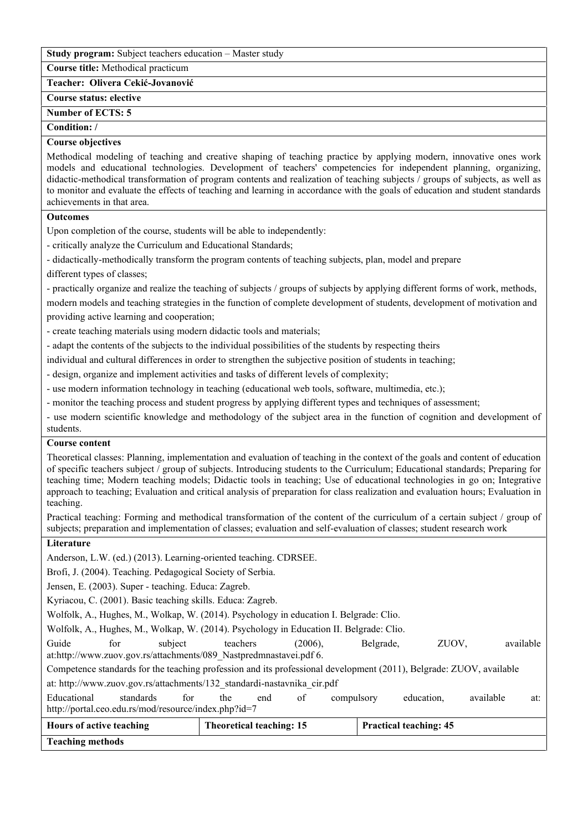**Study program:** Subject teachers education – Master study

**Course title:** Methodical practicum

**Teacher: Olivera Cekić-Jovanović**

**Course status: elective**

**Number of ЕCTS: 5**

**Condition: /**

## **Course objectives**

Methodical modeling of teaching and creative shaping of teaching practice by applying modern, innovative ones work models and educational technologies. Development of teachers' competencies for independent planning, organizing, didactic-methodical transformation of program contents and realization of teaching subjects / groups of subjects, as well as to monitor and evaluate the effects of teaching and learning in accordance with the goals of education and student standards achievements in that area.

## **Outcomes**

Upon completion of the course, students will be able to independently:

- critically analyze the Curriculum and Educational Standards;

- didactically-methodically transform the program contents of teaching subjects, plan, model and prepare

different types of classes;

- practically organize and realize the teaching of subjects / groups of subjects by applying different forms of work, methods,

modern models and teaching strategies in the function of complete development of students, development of motivation and providing active learning and cooperation;

- create teaching materials using modern didactic tools and materials;

- adapt the contents of the subjects to the individual possibilities of the students by respecting theirs

individual and cultural differences in order to strengthen the subjective position of students in teaching;

- design, organize and implement activities and tasks of different levels of complexity;

- use modern information technology in teaching (educational web tools, software, multimedia, etc.);

- monitor the teaching process and student progress by applying different types and techniques of assessment;

- use modern scientific knowledge and methodology of the subject area in the function of cognition and development of students.

## **Course content**

Theoretical classes: Planning, implementation and evaluation of teaching in the context of the goals and content of education of specific teachers subject / group of subjects. Introducing students to the Curriculum; Educational standards; Preparing for teaching time; Modern teaching models; Didactic tools in teaching; Use of educational technologies in go on; Integrative approach to teaching; Evaluation and critical analysis of preparation for class realization and evaluation hours; Evaluation in teaching.

Practical teaching: Forming and methodical transformation of the content of the curriculum of a certain subject / group of subjects; preparation and implementation of classes; evaluation and self-evaluation of classes; student research work

## **Literature**

Anderson, L.W. (ed.) (2013). Learning-oriented teaching. CDRSEE.

Brofi, J. (2004). Teaching. Pedagogical Society of Serbia.

Jensen, E. (2003). Super - teaching. Educa: Zagreb.

Kyriacou, C. (2001). Basic teaching skills. Educa: Zagreb.

Wolfolk, A., Hughes, M., Wolkap, W. (2014). Psychology in education I. Belgrade: Clio.

Wolfolk, A., Hughes, M., Wolkap, W. (2014). Psychology in Education II. Belgrade: Clio.

Guide for subject teachers (2006), Belgrade, ZUOV, available at:http://www.zuov.gov.rs/attachments/089\_Nastpredmnastavei.pdf 6.

Competence standards for the teaching profession and its professional development (2011), Belgrade: ZUOV, available at: http://www.zuov.gov.rs/attachments/132\_standardi-nastavnika\_cir.pdf

Educational standards for the end of compulsory education, available at: http://portal.ceo.edu.rs/mod/resource/index.php?id=7

| Hours of active teaching | Theoretical teaching: 15 | <b>Practical teaching: 45</b> |
|--------------------------|--------------------------|-------------------------------|
| <b>Teaching methods</b>  |                          |                               |